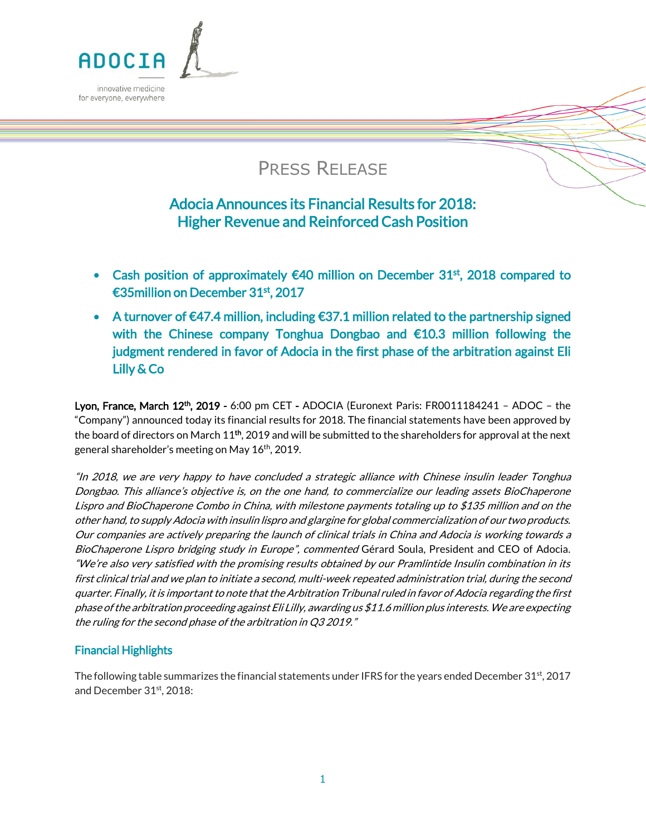

# PRESS RELEASE

# Adocia Announces its Financial Results for 2018: Higher Revenue and Reinforced Cash Position

- Cash position of approximately  $\epsilon$ 40 million on December 31<sup>st</sup>, 2018 compared to €35million on December 31st, 2017
- A turnover of  $\epsilon$ 47.4 million, including  $\epsilon$ 37.1 million related to the partnership signed with the Chinese company Tonghua Dongbao and €10.3 million following the judgment rendered in favor of Adocia in the first phase of the arbitration against Eli Lilly & Co

Lyon, France, March 12<sup>th</sup>, 2019 - 6:00 pm CET - ADOCIA (Euronext Paris: FR0011184241 - ADOC - the "Company") announced today its financial results for 2018. The financial statements have been approved by the board of directors on March  $11^{\text{th}}$ , 2019 and will be submitted to the shareholders for approval at the next general shareholder's meeting on May 16<sup>th</sup>, 2019.

"In 2018, we are very happy to have concluded a strategic alliance with Chinese insulin leader Tonghua Dongbao. This alliance's objective is, on the one hand, to commercialize our leading assets BioChaperone Lispro and BioChaperone Combo in China, with milestone payments totaling up to \$135 million and on the other hand, to supply Adocia with insulin lispro and glargine for global commercialization of our two products. Our companies are actively preparing the launch of clinical trials in China and Adocia is working towards a BioChaperone Lispro bridging study in Europe", commented Gérard Soula, President and CEO of Adocia. "We're also very satisfied with the promising results obtained by our Pramlintide Insulin combination in its first clinical trial and we plan to initiate a second, multi-week repeated administration trial, during the second quarter. Finally, it is important to note that the Arbitration Tribunal ruled in favor of Adocia regarding the first phase of the arbitration proceeding against Eli Lilly, awarding us \$11.6 million plus interests. We are expecting the ruling for the second phase of the arbitration in Q3 2019."

### Financial Highlights

The following table summarizes the financial statements under IFRS for the years ended December 31st, 2017 and December 31st, 2018: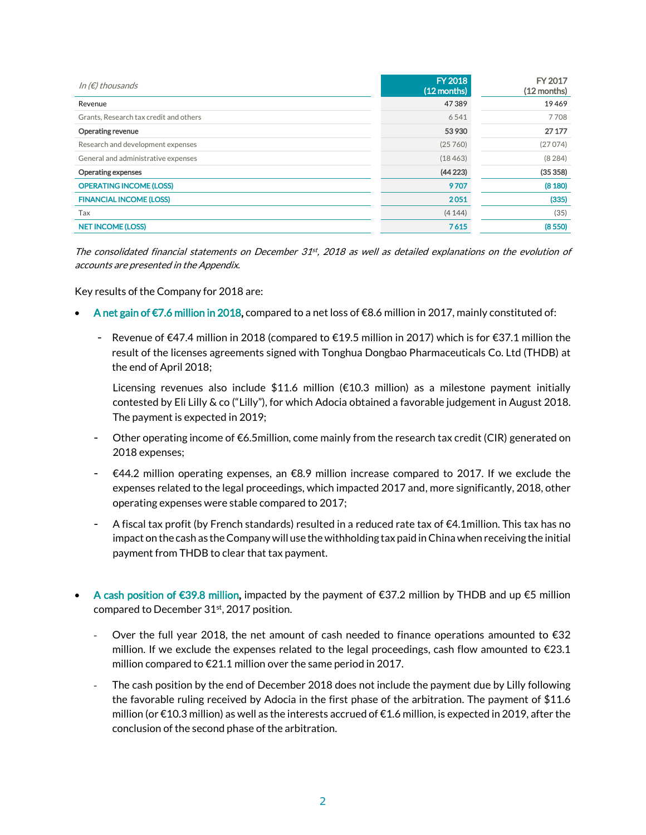| In ( $\notin$ ) thousands              | <b>FY 2018</b><br>$(12$ months) | FY 2017<br>$(12$ months) |
|----------------------------------------|---------------------------------|--------------------------|
| Revenue                                | 47389                           | 19469                    |
| Grants, Research tax credit and others | 6541                            | 7708                     |
| <b>Operating revenue</b>               | 53 930                          | 27 177                   |
| Research and development expenses      | (25760)                         | (27074)                  |
| General and administrative expenses    | (18463)                         | (8284)                   |
| <b>Operating expenses</b>              | (44223)                         | (35358)                  |
| <b>OPERATING INCOME (LOSS)</b>         | 9707                            | (8180)                   |
| <b>FINANCIAL INCOME (LOSS)</b>         | 2051                            | (335)                    |
| Tax                                    | (4144)                          | (35)                     |
| <b>NET INCOME (LOSS)</b>               | 7615                            | (8550)                   |

The consolidated financial statements on December 31st, 2018 as well as detailed explanations on the evolution of accounts are presented in the Appendix.

Key results of the Company for 2018 are:

- A net gain of €7.6 million in 2018, compared to a net loss of €8.6 million in 2017, mainly constituted of:
	- Revenue of €47.4 million in 2018 (compared to €19.5 million in 2017) which is for €37.1 million the result of the licenses agreements signed with Tonghua Dongbao Pharmaceuticals Co. Ltd (THDB) at the end of April 2018;

Licensing revenues also include \$11.6 million (€10.3 million) as a milestone payment initially contested by Eli Lilly & co ("Lilly"), for which Adocia obtained a favorable judgement in August 2018. The payment is expected in 2019;

- Other operating income of  $\epsilon$ 6.5million, come mainly from the research tax credit (CIR) generated on 2018 expenses;
- €44.2 million operating expenses, an €8.9 million increase compared to 2017. If we exclude the expenses related to the legal proceedings, which impacted 2017 and, more significantly, 2018, other operating expenses were stable compared to 2017;
- A fiscal tax profit (by French standards) resulted in a reduced rate tax of  $\epsilon$ 4.1million. This tax has no impact on the cash as the Company will use the withholding tax paid inChina when receiving the initial payment from THDB to clear that tax payment.
- A cash position of €39.8 million, impacted by the payment of €37.2 million by THDB and up €5 million compared to December 31<sup>st</sup>, 2017 position.
	- Over the full year 2018, the net amount of cash needed to finance operations amounted to  $\epsilon$ 32 million. If we exclude the expenses related to the legal proceedings, cash flow amounted to  $\epsilon$ 23.1 million compared to €21.1 million over the same period in 2017.
	- The cash position by the end of December 2018 does not include the payment due by Lilly following the favorable ruling received by Adocia in the first phase of the arbitration. The payment of \$11.6 million (or €10.3 million) as well as the interests accrued of €1.6 million, is expected in 2019, after the conclusion of the second phase of the arbitration.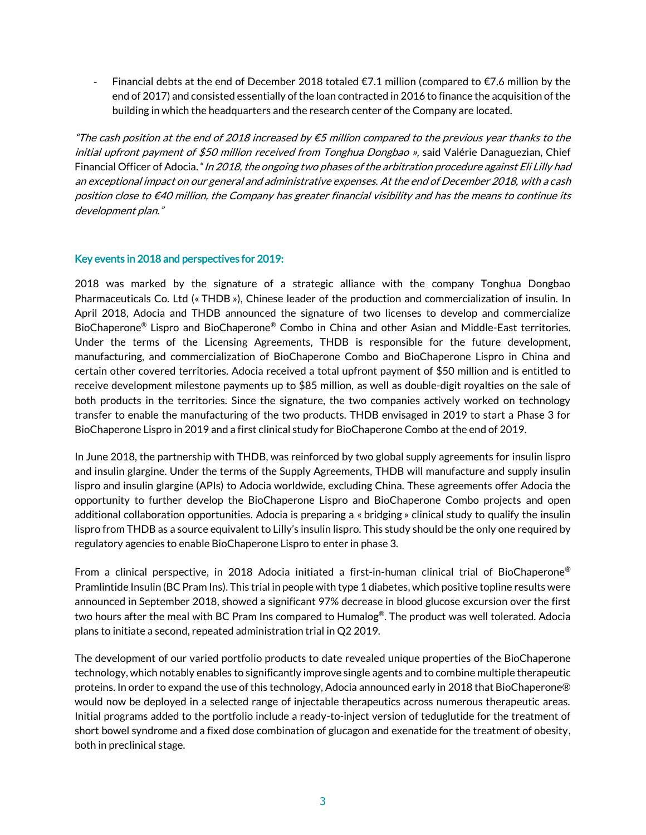Financial debts at the end of December 2018 totaled  $\epsilon$ 7.1 million (compared to  $\epsilon$ 7.6 million by the end of 2017) and consisted essentially of the loan contracted in 2016 to finance the acquisition of the building in which the headquarters and the research center of the Company are located.

"The cash position at the end of 2018 increased by  $\epsilon$ 5 million compared to the previous year thanks to the initial upfront payment of \$50 million received from Tonghua Dongbao », said Valérie Danaguezian, Chief Financial Officer of Adocia. "In 2018, the ongoing two phases of the arbitration procedure against Eli Lilly had an exceptional impact on our general and administrative expenses. At the end of December 2018, with a cash position close to €40 million, the Company has greater financial visibility and has the means to continue its development plan."

#### Key events in 2018 and perspectives for 2019:

2018 was marked by the signature of a strategic alliance with the company Tonghua Dongbao Pharmaceuticals Co. Ltd (« THDB »), Chinese leader of the production and commercialization of insulin. In April 2018, Adocia and THDB announced the signature of two licenses to develop and commercialize BioChaperone® Lispro and BioChaperone® Combo in China and other Asian and Middle-East territories. Under the terms of the Licensing Agreements, THDB is responsible for the future development, manufacturing, and commercialization of BioChaperone Combo and BioChaperone Lispro in China and certain other covered territories. Adocia received a total upfront payment of \$50 million and is entitled to receive development milestone payments up to \$85 million, as well as double-digit royalties on the sale of both products in the territories. Since the signature, the two companies actively worked on technology transfer to enable the manufacturing of the two products. THDB envisaged in 2019 to start a Phase 3 for BioChaperone Lispro in 2019 and a first clinical study for BioChaperone Combo at the end of 2019.

In June 2018, the partnership with THDB, was reinforced by two global supply agreements for insulin lispro and insulin glargine. Under the terms of the Supply Agreements, THDB will manufacture and supply insulin lispro and insulin glargine (APIs) to Adocia worldwide, excluding China. These agreements offer Adocia the opportunity to further develop the BioChaperone Lispro and BioChaperone Combo projects and open additional collaboration opportunities. Adocia is preparing a « bridging » clinical study to qualify the insulin lispro from THDB as a source equivalent to Lilly's insulin lispro. This study should be the only one required by regulatory agencies to enable BioChaperone Lispro to enter in phase 3.

From a clinical perspective, in 2018 Adocia initiated a first-in-human clinical trial of BioChaperone® Pramlintide Insulin (BC Pram Ins). This trial in people with type 1 diabetes, which positive topline results were announced in September 2018, showed a significant 97% decrease in blood glucose excursion over the first two hours after the meal with BC Pram Ins compared to Humalog®. The product was well tolerated. Adocia plans to initiate a second, repeated administration trial in Q2 2019.

The development of our varied portfolio products to date revealed unique properties of the BioChaperone technology, which notably enables to significantly improve single agents and to combine multiple therapeutic proteins. In order to expand the use of this technology, Adocia announced early in 2018 that BioChaperone® would now be deployed in a selected range of injectable therapeutics across numerous therapeutic areas. Initial programs added to the portfolio include a ready-to-inject version of teduglutide for the treatment of short bowel syndrome and a fixed dose combination of glucagon and exenatide for the treatment of obesity, both in preclinical stage.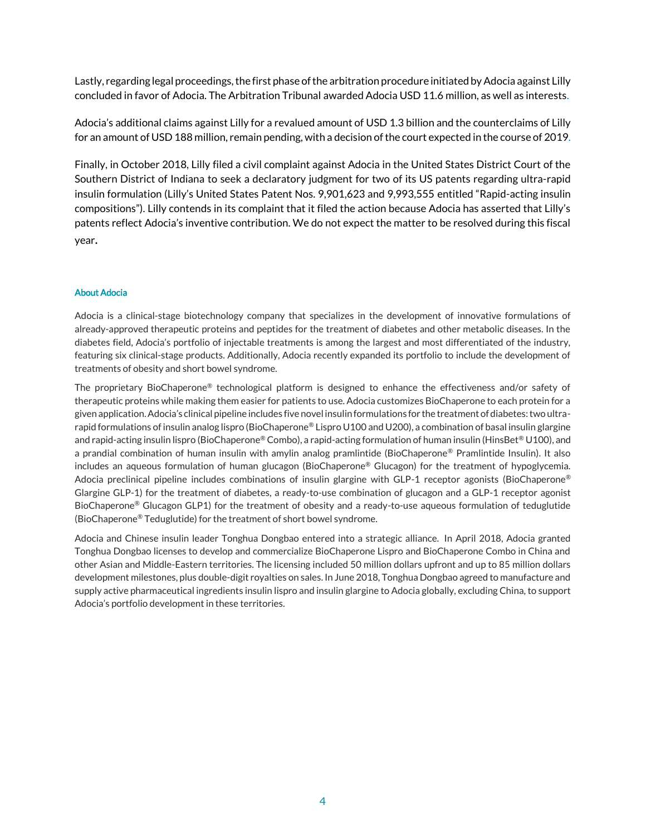Lastly, regarding legal proceedings, the first phase of the arbitration procedure initiated by Adocia against Lilly concluded in favor of Adocia. The Arbitration Tribunal awarded Adocia USD 11.6 million, as well as interests.

Adocia's additional claims against Lilly for a revalued amount of USD 1.3 billion and the counterclaims of Lilly for an amount of USD 188 million, remain pending, with a decision of the court expected in the course of 2019.

Finally, in October 2018, Lilly filed a civil complaint against Adocia in the United States District Court of the Southern District of Indiana to seek a declaratory judgment for two of its US patents regarding ultra-rapid insulin formulation (Lilly's United States Patent Nos. 9,901,623 and 9,993,555 entitled "Rapid-acting insulin compositions"). Lilly contends in its complaint that it filed the action because Adocia has asserted that Lilly's patents reflect Adocia's inventive contribution. We do not expect the matter to be resolved during this fiscal year.

#### About Adocia

Adocia is a clinical-stage biotechnology company that specializes in the development of innovative formulations of already-approved therapeutic proteins and peptides for the treatment of diabetes and other metabolic diseases. In the diabetes field, Adocia's portfolio of injectable treatments is among the largest and most differentiated of the industry, featuring six clinical-stage products. Additionally, Adocia recently expanded its portfolio to include the development of treatments of obesity and short bowel syndrome.

The proprietary BioChaperone® technological platform is designed to enhance the effectiveness and/or safety of therapeutic proteins while making them easier for patients to use. Adocia customizes BioChaperone to each protein for a given application. Adocia's clinical pipeline includes five novel insulin formulations for the treatment of diabetes: two ultrarapid formulations of insulin analog lispro (BioChaperone® Lispro U100 and U200), a combination of basal insulin glargine and rapid-acting insulin lispro (BioChaperone® Combo), a rapid-acting formulation of human insulin (HinsBet® U100), and a prandial combination of human insulin with amylin analog pramlintide (BioChaperone® Pramlintide Insulin). It also includes an aqueous formulation of human glucagon (BioChaperone® Glucagon) for the treatment of hypoglycemia. Adocia preclinical pipeline includes combinations of insulin glargine with GLP-1 receptor agonists (BioChaperone® Glargine GLP-1) for the treatment of diabetes, a ready-to-use combination of glucagon and a GLP-1 receptor agonist BioChaperone® Glucagon GLP1) for the treatment of obesity and a ready-to-use aqueous formulation of teduglutide (BioChaperone® Teduglutide) for the treatment of short bowel syndrome.

Adocia and Chinese insulin leader Tonghua Dongbao entered into a strategic alliance. In April 2018, Adocia granted Tonghua Dongbao licenses to develop and commercialize BioChaperone Lispro and BioChaperone Combo in China and other Asian and Middle-Eastern territories. The licensing included 50 million dollars upfront and up to 85 million dollars development milestones, plus double-digit royalties on sales. In June 2018, Tonghua Dongbao agreed to manufacture and supply active pharmaceutical ingredients insulin lispro and insulin glargine to Adocia globally, excluding China, to support Adocia's portfolio development in these territories.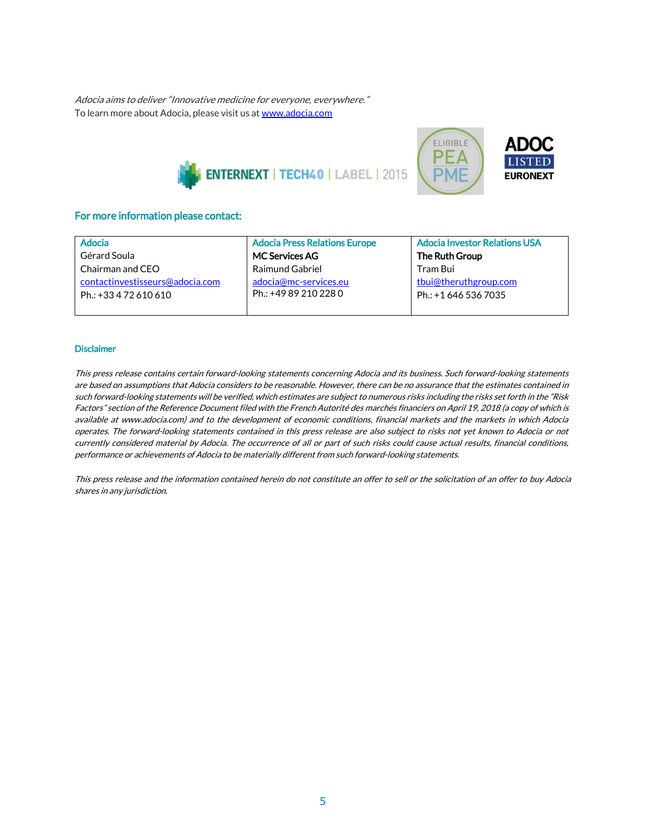Adocia aims to deliver "Innovative medicine for everyone, everywhere." To learn more about Adocia, please visit us a[t www.adocia.com](http://www.adocia.com/)





#### For more information please contact:

| Adocia                          | <b>Adocia Press Relations Europe</b> | <b>Adocia Investor Relations USA</b> |
|---------------------------------|--------------------------------------|--------------------------------------|
| Gérard Soula                    | <b>MC Services AG</b>                | The Ruth Group                       |
| Chairman and CEO                | <b>Raimund Gabriel</b>               | Tram Bui                             |
| contactinvestisseurs@adocia.com | adocia@mc-services.eu                | tbui@theruthgroup.com                |
| Ph.: +33 4 72 610 610           | Ph.: +49 89 210 228 0                | Ph.: +1 646 536 7035                 |
|                                 |                                      |                                      |

#### **Disclaimer**

This press release contains certain forward-looking statements concerning Adocia and its business. Such forward-looking statements are based on assumptions that Adocia considers to be reasonable. However, there can be no assurance that the estimates contained in such forward-looking statements will be verified, which estimates are subject to numerous risks including the risks set forth in the "Risk Factors" section of the Reference Document filed with the French Autorité des marchés financiers on April 19, 2018 (a copy of which is available at www.adocia.com) and to the development of economic conditions, financial markets and the markets in which Adocia operates. The forward-looking statements contained in this press release are also subject to risks not yet known to Adocia or not currently considered material by Adocia. The occurrence of all or part of such risks could cause actual results, financial conditions, performance or achievements of Adocia to be materially different from such forward-looking statements.

This press release and the information contained herein do not constitute an offer to sell or the solicitation of an offer to buy Adocia shares in any jurisdiction.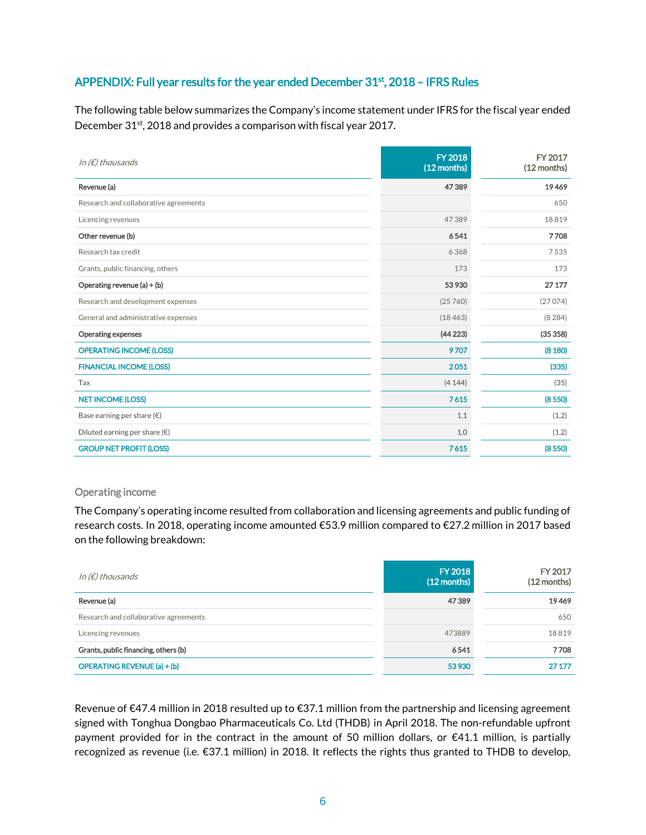# APPENDIX: Full year results for the year ended December 31<sup>st</sup>, 2018 - IFRS Rules

The following table below summarizes the Company's income statement under IFRS for the fiscal year ended December 31<sup>st</sup>, 2018 and provides a comparison with fiscal year 2017.

| In $(E)$ thousands                     | <b>FY 2018</b><br>(12 months) | FY 2017<br>(12 months) |
|----------------------------------------|-------------------------------|------------------------|
| Revenue (a)                            | 47389                         | 19469                  |
| Research and collaborative agreements  |                               | 650                    |
| Licencing revenues                     | 47389                         | 18819                  |
| Other revenue (b)                      | 6541                          | 7708                   |
| Research tax credit                    | 6368                          | 7535                   |
| Grants, public financing, others       | 173                           | 173                    |
| Operating revenue (a) + (b)            | 53 930                        | 27 177                 |
| Research and development expenses      | (25760)                       | (27074)                |
| General and administrative expenses    | (18463)                       | (8284)                 |
| <b>Operating expenses</b>              | (44223)                       | (35358)                |
| <b>OPERATING INCOME (LOSS)</b>         | 9707                          | (8180)                 |
| <b>FINANCIAL INCOME (LOSS)</b>         | 2051                          | (335)                  |
| Tax                                    | (4144)                        | (35)                   |
| <b>NET INCOME (LOSS)</b>               | 7615                          | (8550)                 |
| Base earning per share $(\epsilon)$    | 1,1                           | (1,2)                  |
| Diluted earning per share $(\epsilon)$ | 1,0                           | (1,2)                  |
| <b>GROUP NET PROFIT (LOSS)</b>         | 7615                          | (8550)                 |

#### Operating income

The Company's operating income resulted from collaboration and licensing agreements and public funding of research costs. In 2018, operating income amounted €53.9 million compared to €27.2 million in 2017 based on the following breakdown:

| In (€) thousands                      | <b>FY 2018</b><br>$(12$ months) | FY 2017<br>(12 months) |
|---------------------------------------|---------------------------------|------------------------|
| Revenue (a)                           | 47389                           | 19469                  |
| Research and collaborative agreements |                                 | 650                    |
| Licencing revenues                    | 473889                          | 18819                  |
| Grants, public financing, others (b)  | 6541                            | 7708                   |
| <b>OPERATING REVENUE (a) + (b)</b>    | 53 930                          | 27 177                 |

Revenue of €47.4 million in 2018 resulted up to €37.1 million from the partnership and licensing agreement signed with Tonghua Dongbao Pharmaceuticals Co. Ltd (THDB) in April 2018. The non-refundable upfront payment provided for in the contract in the amount of 50 million dollars, or  $\epsilon$ 41.1 million, is partially recognized as revenue (i.e. €37.1 million) in 2018. It reflects the rights thus granted to THDB to develop,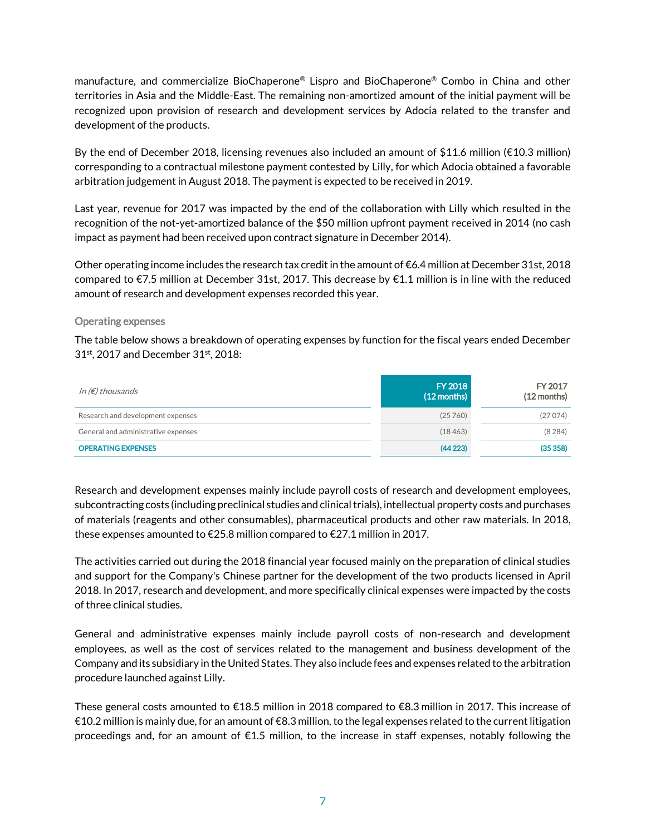manufacture, and commercialize BioChaperone® Lispro and BioChaperone® Combo in China and other territories in Asia and the Middle-East. The remaining non-amortized amount of the initial payment will be recognized upon provision of research and development services by Adocia related to the transfer and development of the products.

By the end of December 2018, licensing revenues also included an amount of \$11.6 million (€10.3 million) corresponding to a contractual milestone payment contested by Lilly, for which Adocia obtained a favorable arbitration judgement in August 2018. The payment is expected to be received in 2019.

Last year, revenue for 2017 was impacted by the end of the collaboration with Lilly which resulted in the recognition of the not-yet-amortized balance of the \$50 million upfront payment received in 2014 (no cash impact as payment had been received upon contract signature in December 2014).

Other operating income includes the research tax credit in the amount of €6.4 million at December 31st, 2018 compared to  $\epsilon$ 7.5 million at December 31st, 2017. This decrease by  $\epsilon$ 1.1 million is in line with the reduced amount of research and development expenses recorded this year.

#### Operating expenses

The table below shows a breakdown of operating expenses by function for the fiscal years ended December 31<sup>st</sup>, 2017 and December 31<sup>st</sup>, 2018:

| In (€) thousands                    | <b>FY 2018</b><br>$(12$ months) | FY 2017<br>$(12$ months) |
|-------------------------------------|---------------------------------|--------------------------|
| Research and development expenses   | (25760)                         | (27074)                  |
| General and administrative expenses | (18463)                         | (8284)                   |
| <b>OPERATING EXPENSES</b>           | (44223)                         | (35358)                  |

Research and development expenses mainly include payroll costs of research and development employees, subcontracting costs (including preclinical studies and clinical trials), intellectual property costs and purchases of materials (reagents and other consumables), pharmaceutical products and other raw materials. In 2018, these expenses amounted to €25.8 million compared to €27.1 million in 2017.

The activities carried out during the 2018 financial year focused mainly on the preparation of clinical studies and support for the Company's Chinese partner for the development of the two products licensed in April 2018. In 2017, research and development, and more specifically clinical expenses were impacted by the costs of three clinical studies.

General and administrative expenses mainly include payroll costs of non-research and development employees, as well as the cost of services related to the management and business development of the Company and its subsidiary in the United States. They also include fees and expenses related to the arbitration procedure launched against Lilly.

These general costs amounted to €18.5 million in 2018 compared to €8.3 million in 2017. This increase of €10.2 million is mainly due, for an amount of €8.3 million, to the legal expenses related to the current litigation proceedings and, for an amount of €1.5 million, to the increase in staff expenses, notably following the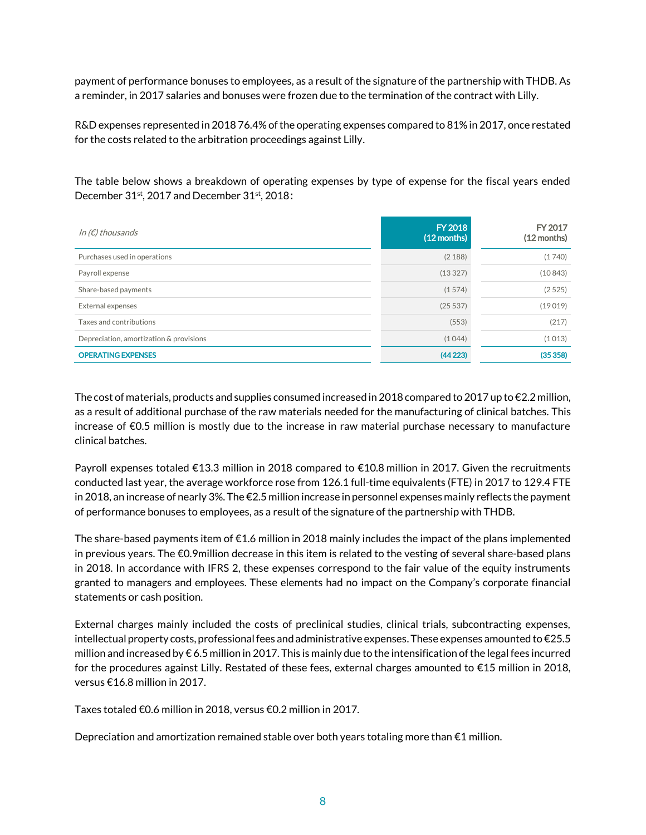payment of performance bonuses to employees, as a result of the signature of the partnership with THDB. As a reminder, in 2017 salaries and bonuses were frozen due to the termination of the contract with Lilly.

R&D expenses represented in 2018 76.4% of the operating expenses compared to 81% in 2017, once restated for the costs related to the arbitration proceedings against Lilly.

The table below shows a breakdown of operating expenses by type of expense for the fiscal years ended December 31<sup>st</sup>, 2017 and December 31<sup>st</sup>, 2018:

| In ( $\notin$ ) thousands               | <b>FY 2018</b><br>$(12$ months) | FY 2017<br>(12 months) |
|-----------------------------------------|---------------------------------|------------------------|
| Purchases used in operations            | (2 188)                         | (1740)                 |
| Payroll expense                         | (13327)                         | (10843)                |
| Share-based payments                    | (1574)                          | (2525)                 |
| External expenses                       | (25537)                         | (19019)                |
| Taxes and contributions                 | (553)                           | (217)                  |
| Depreciation, amortization & provisions | (1044)                          | (1013)                 |
| <b>OPERATING EXPENSES</b>               | (44223)                         | (35358)                |

The cost of materials, products and supplies consumed increased in 2018 compared to 2017 up to  $\epsilon$ 2.2 million, as a result of additional purchase of the raw materials needed for the manufacturing of clinical batches. This increase of €0.5 million is mostly due to the increase in raw material purchase necessary to manufacture clinical batches.

Payroll expenses totaled €13.3 million in 2018 compared to €10.8 million in 2017. Given the recruitments conducted last year, the average workforce rose from 126.1 full-time equivalents (FTE) in 2017 to 129.4 FTE in 2018, an increase of nearly 3%. The €2.5 million increase in personnel expenses mainly reflects the payment of performance bonuses to employees, as a result of the signature of the partnership with THDB.

The share-based payments item of €1.6 million in 2018 mainly includes the impact of the plans implemented in previous years. The €0.9million decrease in this item is related to the vesting of several share-based plans in 2018. In accordance with IFRS 2, these expenses correspond to the fair value of the equity instruments granted to managers and employees. These elements had no impact on the Company's corporate financial statements or cash position.

External charges mainly included the costs of preclinical studies, clinical trials, subcontracting expenses, intellectual property costs, professional fees and administrative expenses. These expenses amounted to €25.5 million and increased by € 6.5 million in 2017. This is mainly due to the intensification of the legal fees incurred for the procedures against Lilly. Restated of these fees, external charges amounted to €15 million in 2018, versus €16.8 million in 2017.

Taxes totaled €0.6 million in 2018, versus €0.2 million in 2017.

Depreciation and amortization remained stable over both years totaling more than  $\epsilon$ 1 million.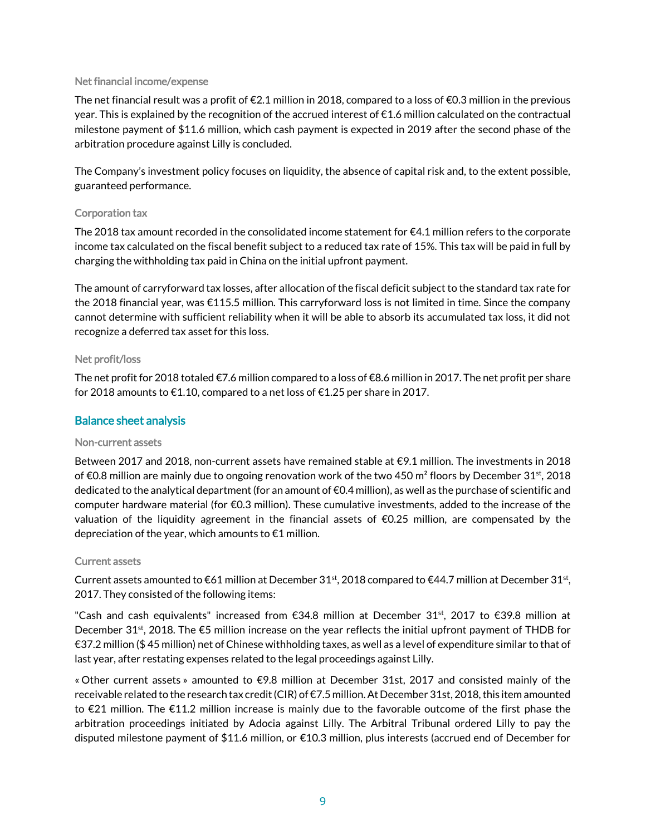#### Net financial income/expense

The net financial result was a profit of  $\epsilon$ 2.1 million in 2018, compared to a loss of  $\epsilon$ 0.3 million in the previous year. This is explained by the recognition of the accrued interest of €1.6 million calculated on the contractual milestone payment of \$11.6 million, which cash payment is expected in 2019 after the second phase of the arbitration procedure against Lilly is concluded.

The Company's investment policy focuses on liquidity, the absence of capital risk and, to the extent possible, guaranteed performance.

#### Corporation tax

The 2018 tax amount recorded in the consolidated income statement for €4.1 million refers to the corporate income tax calculated on the fiscal benefit subject to a reduced tax rate of 15%. This tax will be paid in full by charging the withholding tax paid in China on the initial upfront payment.

The amount of carryforward tax losses, after allocation of the fiscal deficit subject to the standard tax rate for the 2018 financial year, was €115.5 million. This carryforward loss is not limited in time. Since the company cannot determine with sufficient reliability when it will be able to absorb its accumulated tax loss, it did not recognize a deferred tax asset for this loss.

#### Net profit/loss

The net profit for 2018 totaled  $\epsilon$ 7.6 million compared to a loss of  $\epsilon$ 8.6 million in 2017. The net profit per share for 2018 amounts to  $\epsilon$ 1.10, compared to a net loss of  $\epsilon$ 1.25 per share in 2017.

#### Balance sheet analysis

#### Non-current assets

Between 2017 and 2018, non-current assets have remained stable at €9.1 million. The investments in 2018 of €0.8 million are mainly due to ongoing renovation work of the two 450 m<sup>2</sup> floors by December 31<sup>st</sup>, 2018 dedicated to the analytical department(for an amount of €0.4 million), as well as the purchase of scientific and computer hardware material (for €0.3 million). These cumulative investments, added to the increase of the valuation of the liquidity agreement in the financial assets of €0.25 million, are compensated by the depreciation of the year, which amounts to €1 million.

#### Current assets

Current assets amounted to  $\epsilon$ 61 million at December 31<sup>st</sup>, 2018 compared to  $\epsilon$ 44.7 million at December 31<sup>st</sup>, 2017. They consisted of the following items:

"Cash and cash equivalents" increased from €34.8 million at December 31<sup>st</sup>, 2017 to €39.8 million at December 31<sup>st</sup>, 2018. The  $\epsilon$ 5 million increase on the year reflects the initial upfront payment of THDB for €37.2 million (\$ 45 million) net of Chinese withholding taxes, as well as a level of expenditure similar to that of last year, after restating expenses related to the legal proceedings against Lilly.

« Other current assets » amounted to €9.8 million at December 31st, 2017 and consisted mainly of the receivable related to the research tax credit (CIR) of €7.5 million. At December 31st, 2018, this item amounted to €21 million. The €11.2 million increase is mainly due to the favorable outcome of the first phase the arbitration proceedings initiated by Adocia against Lilly. The Arbitral Tribunal ordered Lilly to pay the disputed milestone payment of \$11.6 million, or €10.3 million, plus interests (accrued end of December for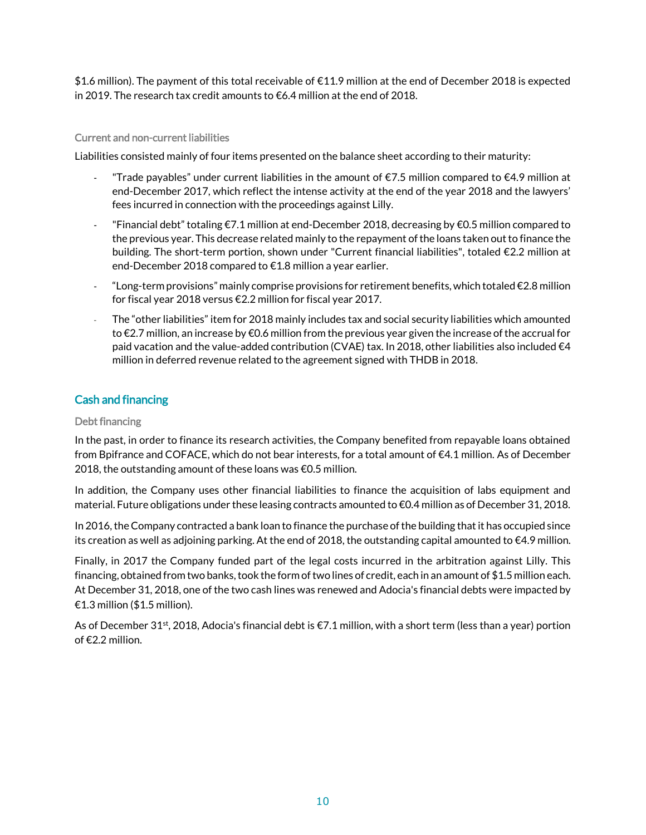\$1.6 million). The payment of this total receivable of €11.9 million at the end of December 2018 is expected in 2019. The research tax credit amounts to €6.4 million at the end of 2018.

#### Current and non-current liabilities

Liabilities consisted mainly of four items presented on the balance sheet according to their maturity:

- "Trade payables" under current liabilities in the amount of  $\epsilon$ 7.5 million compared to  $\epsilon$ 4.9 million at end-December 2017, which reflect the intense activity at the end of the year 2018 and the lawyers' fees incurred in connection with the proceedings against Lilly.
- "Financial debt" totaling €7.1 million at end-December 2018, decreasing by €0.5 million compared to the previous year. This decrease related mainly to the repayment of the loans taken out to finance the building. The short-term portion, shown under "Current financial liabilities", totaled €2.2 million at end-December 2018 compared to €1.8 million a year earlier.
- $\degree$  Long-term provisions" mainly comprise provisions for retirement benefits, which totaled  $\epsilon$ 2.8 million for fiscal year 2018 versus €2.2 million for fiscal year 2017.
- The "other liabilities" item for 2018 mainly includes tax and social security liabilities which amounted to €2.7 million, an increase by €0.6 million from the previous year given the increase of the accrual for paid vacation and the value-added contribution (CVAE) tax. In 2018, other liabilities also included  $\epsilon$ 4 million in deferred revenue related to the agreement signed with THDB in 2018.

# Cash and financing

#### Debt financing

In the past, in order to finance its research activities, the Company benefited from repayable loans obtained from Bpifrance and COFACE, which do not bear interests, for a total amount of €4.1 million. As of December 2018, the outstanding amount of these loans was €0.5 million.

In addition, the Company uses other financial liabilities to finance the acquisition of labs equipment and material. Future obligations under these leasing contracts amounted to €0.4 million as of December 31, 2018.

In 2016, the Company contracted a bank loan to finance the purchase of the building that it has occupied since its creation as well as adjoining parking. At the end of 2018, the outstanding capital amounted to €4.9 million.

Finally, in 2017 the Company funded part of the legal costs incurred in the arbitration against Lilly. This financing, obtained from two banks, took the form of two lines of credit, each in an amount of \$1.5 million each. At December 31, 2018, one of the two cash lines was renewed and Adocia's financial debts were impacted by €1.3 million (\$1.5 million).

As of December 31<sup>st</sup>, 2018, Adocia's financial debt is  $\epsilon$ 7.1 million, with a short term (less than a year) portion of €2.2 million.